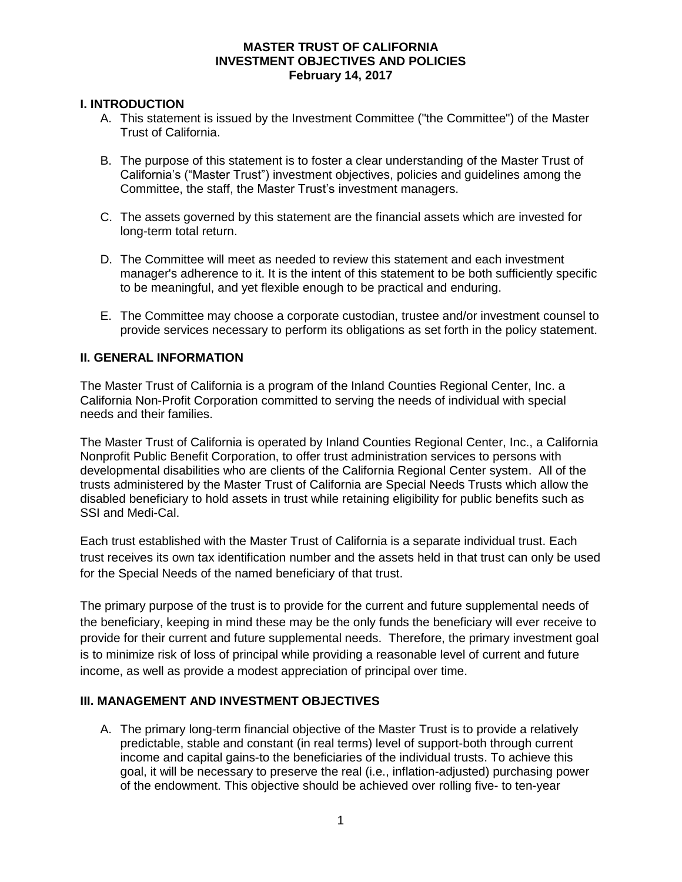# **I. INTRODUCTION**

- A. This statement is issued by the Investment Committee ("the Committee") of the Master Trust of California.
- B. The purpose of this statement is to foster a clear understanding of the Master Trust of California's ("Master Trust") investment objectives, policies and guidelines among the Committee, the staff, the Master Trust's investment managers.
- C. The assets governed by this statement are the financial assets which are invested for long-term total return.
- D. The Committee will meet as needed to review this statement and each investment manager's adherence to it. It is the intent of this statement to be both sufficiently specific to be meaningful, and yet flexible enough to be practical and enduring.
- E. The Committee may choose a corporate custodian, trustee and/or investment counsel to provide services necessary to perform its obligations as set forth in the policy statement.

# **II. GENERAL INFORMATION**

The Master Trust of California is a program of the Inland Counties Regional Center, Inc. a California Non-Profit Corporation committed to serving the needs of individual with special needs and their families.

The Master Trust of California is operated by Inland Counties Regional Center, Inc., a California Nonprofit Public Benefit Corporation, to offer trust administration services to persons with developmental disabilities who are clients of the California Regional Center system. All of the trusts administered by the Master Trust of California are Special Needs Trusts which allow the disabled beneficiary to hold assets in trust while retaining eligibility for public benefits such as SSI and Medi-Cal.

Each trust established with the Master Trust of California is a separate individual trust. Each trust receives its own tax identification number and the assets held in that trust can only be used for the Special Needs of the named beneficiary of that trust.

The primary purpose of the trust is to provide for the current and future supplemental needs of the beneficiary, keeping in mind these may be the only funds the beneficiary will ever receive to provide for their current and future supplemental needs. Therefore, the primary investment goal is to minimize risk of loss of principal while providing a reasonable level of current and future income, as well as provide a modest appreciation of principal over time.

# **III. MANAGEMENT AND INVESTMENT OBJECTIVES**

A. The primary long-term financial objective of the Master Trust is to provide a relatively predictable, stable and constant (in real terms) level of support-both through current income and capital gains-to the beneficiaries of the individual trusts. To achieve this goal, it will be necessary to preserve the real (i.e., inflation-adjusted) purchasing power of the endowment. This objective should be achieved over rolling five- to ten-year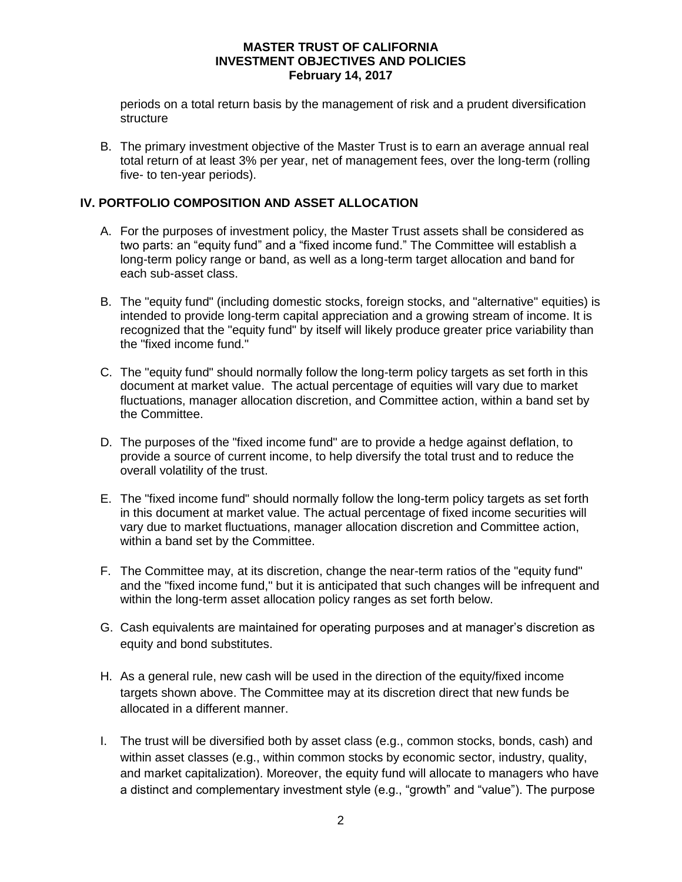periods on a total return basis by the management of risk and a prudent diversification structure

B. The primary investment objective of the Master Trust is to earn an average annual real total return of at least 3% per year, net of management fees, over the long-term (rolling five- to ten-year periods).

# **IV. PORTFOLIO COMPOSITION AND ASSET ALLOCATION**

- A. For the purposes of investment policy, the Master Trust assets shall be considered as two parts: an "equity fund" and a "fixed income fund." The Committee will establish a long-term policy range or band, as well as a long-term target allocation and band for each sub-asset class.
- B. The "equity fund" (including domestic stocks, foreign stocks, and "alternative" equities) is intended to provide long-term capital appreciation and a growing stream of income. It is recognized that the "equity fund" by itself will likely produce greater price variability than the "fixed income fund."
- C. The "equity fund" should normally follow the long-term policy targets as set forth in this document at market value. The actual percentage of equities will vary due to market fluctuations, manager allocation discretion, and Committee action, within a band set by the Committee.
- D. The purposes of the "fixed income fund" are to provide a hedge against deflation, to provide a source of current income, to help diversify the total trust and to reduce the overall volatility of the trust.
- E. The "fixed income fund" should normally follow the long-term policy targets as set forth in this document at market value. The actual percentage of fixed income securities will vary due to market fluctuations, manager allocation discretion and Committee action, within a band set by the Committee.
- F. The Committee may, at its discretion, change the near-term ratios of the "equity fund" and the "fixed income fund," but it is anticipated that such changes will be infrequent and within the long-term asset allocation policy ranges as set forth below.
- G. Cash equivalents are maintained for operating purposes and at manager's discretion as equity and bond substitutes.
- H. As a general rule, new cash will be used in the direction of the equity/fixed income targets shown above. The Committee may at its discretion direct that new funds be allocated in a different manner.
- I. The trust will be diversified both by asset class (e.g., common stocks, bonds, cash) and within asset classes (e.g., within common stocks by economic sector, industry, quality, and market capitalization). Moreover, the equity fund will allocate to managers who have a distinct and complementary investment style (e.g., "growth" and "value"). The purpose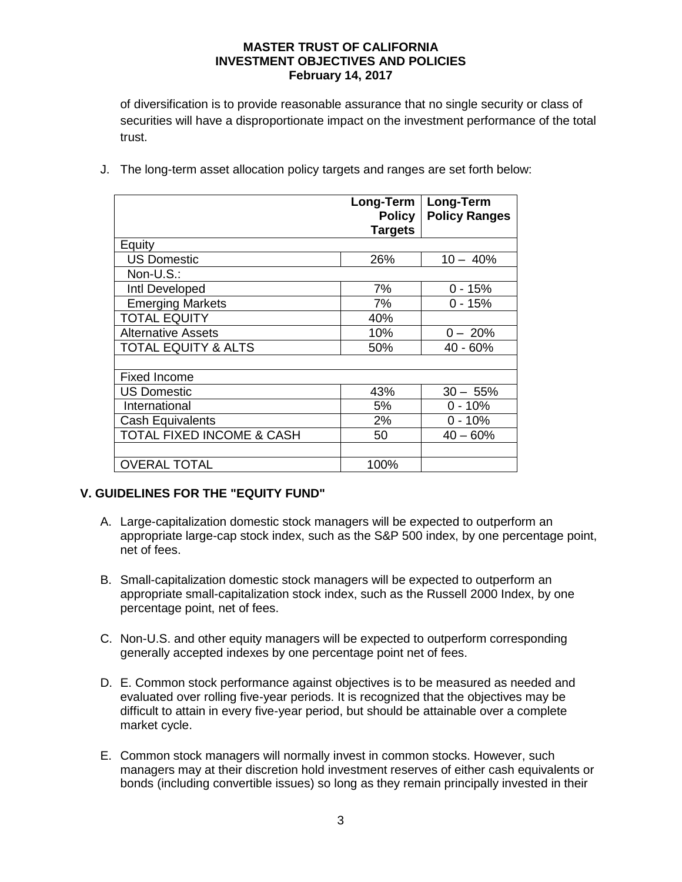of diversification is to provide reasonable assurance that no single security or class of securities will have a disproportionate impact on the investment performance of the total trust.

|                                      | Long-Term<br><b>Policy</b> | <b>Long-Term</b><br><b>Policy Ranges</b> |
|--------------------------------------|----------------------------|------------------------------------------|
|                                      | <b>Targets</b>             |                                          |
| Equity                               |                            |                                          |
| <b>US Domestic</b>                   | 26%                        | $10 - 40%$                               |
| Non-U.S.:                            |                            |                                          |
| Intl Developed                       | 7%                         | $0 - 15%$                                |
| <b>Emerging Markets</b>              | 7%                         | $0 - 15%$                                |
| <b>TOTAL EQUITY</b>                  | 40%                        |                                          |
| <b>Alternative Assets</b>            | 10%                        | $0 - 20%$                                |
| <b>TOTAL EQUITY &amp; ALTS</b>       | 50%                        | 40 - 60%                                 |
|                                      |                            |                                          |
| <b>Fixed Income</b>                  |                            |                                          |
| <b>US Domestic</b>                   | 43%                        | $30 - 55%$                               |
| International                        | 5%                         | $0 - 10%$                                |
| <b>Cash Equivalents</b>              | 2%                         | $0 - 10%$                                |
| <b>TOTAL FIXED INCOME &amp; CASH</b> | 50                         | $40 - 60%$                               |
|                                      |                            |                                          |
| <b>OVERAL TOTAL</b>                  | 100%                       |                                          |

J. The long-term asset allocation policy targets and ranges are set forth below:

# **V. GUIDELINES FOR THE "EQUITY FUND"**

- A. Large-capitalization domestic stock managers will be expected to outperform an appropriate large-cap stock index, such as the S&P 500 index, by one percentage point, net of fees.
- B. Small-capitalization domestic stock managers will be expected to outperform an appropriate small-capitalization stock index, such as the Russell 2000 Index, by one percentage point, net of fees.
- C. Non-U.S. and other equity managers will be expected to outperform corresponding generally accepted indexes by one percentage point net of fees.
- D. E. Common stock performance against objectives is to be measured as needed and evaluated over rolling five-year periods. It is recognized that the objectives may be difficult to attain in every five-year period, but should be attainable over a complete market cycle.
- E. Common stock managers will normally invest in common stocks. However, such managers may at their discretion hold investment reserves of either cash equivalents or bonds (including convertible issues) so long as they remain principally invested in their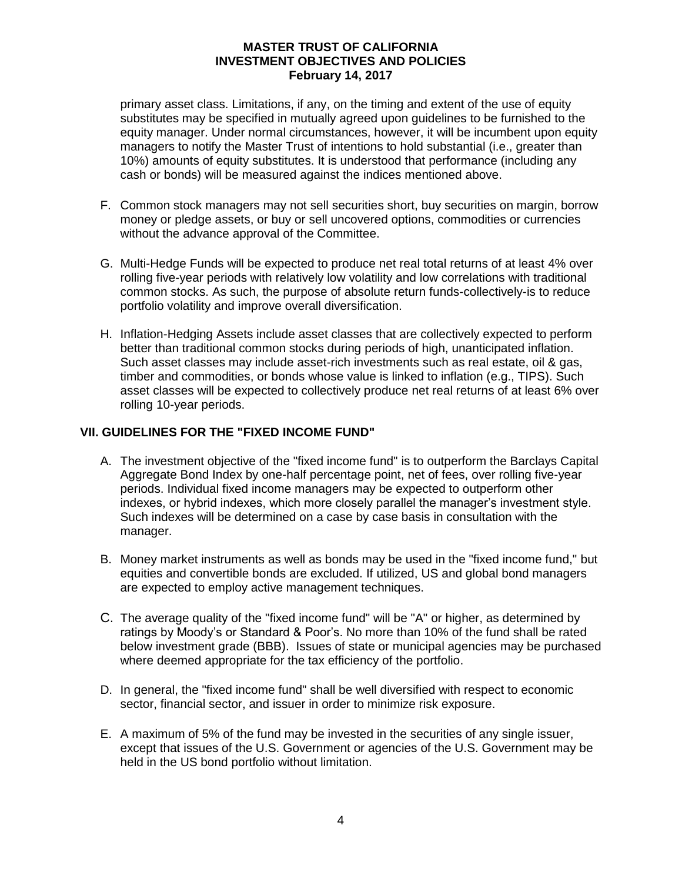primary asset class. Limitations, if any, on the timing and extent of the use of equity substitutes may be specified in mutually agreed upon guidelines to be furnished to the equity manager. Under normal circumstances, however, it will be incumbent upon equity managers to notify the Master Trust of intentions to hold substantial (i.e., greater than 10%) amounts of equity substitutes. It is understood that performance (including any cash or bonds) will be measured against the indices mentioned above.

- F. Common stock managers may not sell securities short, buy securities on margin, borrow money or pledge assets, or buy or sell uncovered options, commodities or currencies without the advance approval of the Committee.
- G. Multi-Hedge Funds will be expected to produce net real total returns of at least 4% over rolling five-year periods with relatively low volatility and low correlations with traditional common stocks. As such, the purpose of absolute return funds-collectively-is to reduce portfolio volatility and improve overall diversification.
- H. Inflation-Hedging Assets include asset classes that are collectively expected to perform better than traditional common stocks during periods of high, unanticipated inflation. Such asset classes may include asset-rich investments such as real estate, oil & gas, timber and commodities, or bonds whose value is linked to inflation (e.g., TIPS). Such asset classes will be expected to collectively produce net real returns of at least 6% over rolling 10-year periods.

# **VII. GUIDELINES FOR THE "FIXED INCOME FUND"**

- A. The investment objective of the "fixed income fund" is to outperform the Barclays Capital Aggregate Bond Index by one-half percentage point, net of fees, over rolling five-year periods. Individual fixed income managers may be expected to outperform other indexes, or hybrid indexes, which more closely parallel the manager's investment style. Such indexes will be determined on a case by case basis in consultation with the manager.
- B. Money market instruments as well as bonds may be used in the "fixed income fund," but equities and convertible bonds are excluded. If utilized, US and global bond managers are expected to employ active management techniques.
- C. The average quality of the "fixed income fund" will be "A" or higher, as determined by ratings by Moody's or Standard & Poor's. No more than 10% of the fund shall be rated below investment grade (BBB). Issues of state or municipal agencies may be purchased where deemed appropriate for the tax efficiency of the portfolio.
- D. In general, the "fixed income fund" shall be well diversified with respect to economic sector, financial sector, and issuer in order to minimize risk exposure.
- E. A maximum of 5% of the fund may be invested in the securities of any single issuer, except that issues of the U.S. Government or agencies of the U.S. Government may be held in the US bond portfolio without limitation.